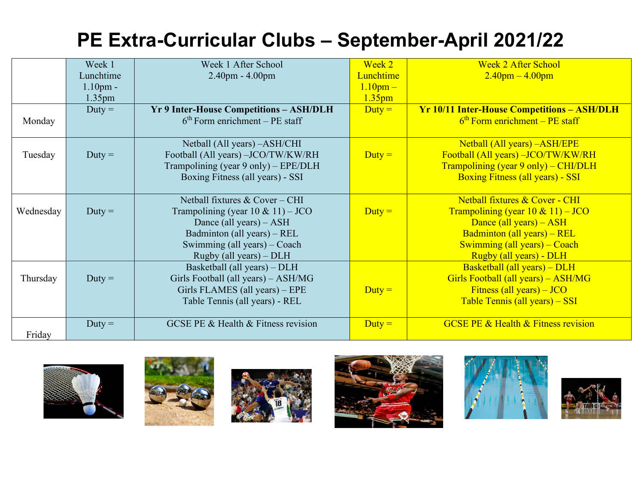## **PE Extra-Curricular Clubs – September-April 2021/22**

|           | Week 1             | Week 1 After School                            | Week 2             | <b>Week 2 After School</b>                         |
|-----------|--------------------|------------------------------------------------|--------------------|----------------------------------------------------|
|           | Lunchtime          | $2.40$ pm - $4.00$ pm                          | <b>Lunchtime</b>   | $2.40$ pm $-4.00$ pm                               |
|           | 1.10 <sub>pm</sub> |                                                | $1.10$ pm $-$      |                                                    |
|           | 1.35 <sub>pm</sub> |                                                | 1.35 <sub>pm</sub> |                                                    |
|           | $Duty =$           | <b>Yr 9 Inter-House Competitions - ASH/DLH</b> | $Duty =$           | <b>Yr 10/11 Inter-House Competitions - ASH/DLH</b> |
| Monday    |                    | $6th$ Form enrichment – PE staff               |                    | $6th$ Form enrichment – PE staff                   |
|           |                    | Netball (All years) - ASH/CHI                  |                    | Netball (All years) - ASH/EPE                      |
| Tuesday   | $Duty =$           | Football (All years) -JCO/TW/KW/RH             | $Duty =$           | Football (All years) - JCO/TW/KW/RH                |
|           |                    | Trampolining (year 9 only) - EPE/DLH           |                    | Trampolining (year 9 only) – CHI/DLH               |
|           |                    | Boxing Fitness (all years) - SSI               |                    | <b>Boxing Fitness (all years) - SSI</b>            |
|           |                    |                                                |                    |                                                    |
|           |                    | Netball fixtures & Cover - CHI                 |                    | Netball fixtures & Cover - CHI                     |
| Wednesday | $Duty =$           | Trampolining (year $10 \& 11$ ) – JCO          | $Duty =$           | Trampolining (year $10 \& 11$ ) – JCO              |
|           |                    | Dance (all years) $-$ ASH                      |                    | Dance (all years) $-$ ASH                          |
|           |                    | Badminton (all years) – REL                    |                    | Badminton (all years) – REL                        |
|           |                    | Swimming (all years) – Coach                   |                    | Swimming (all years) – Coach                       |
|           |                    | Rugby (all years) – DLH                        |                    | Rugby (all years) - DLH                            |
|           |                    | Basketball (all years) – DLH                   |                    | Basketball (all years) - DLH                       |
| Thursday  | $Duty =$           | Girls Football (all years) - ASH/MG            |                    | Girls Football (all years) - ASH/MG                |
|           |                    | Girls FLAMES (all years) – EPE                 | $Duty =$           | Fitness (all years) $-$ JCO                        |
|           |                    | Table Tennis (all years) - REL                 |                    | Table Tennis (all years) - SSI                     |
|           | $Duty =$           | GCSE PE & Health & Fitness revision            | $Duty =$           | <b>GCSE PE &amp; Health &amp; Fitness revision</b> |
| Friday    |                    |                                                |                    |                                                    |